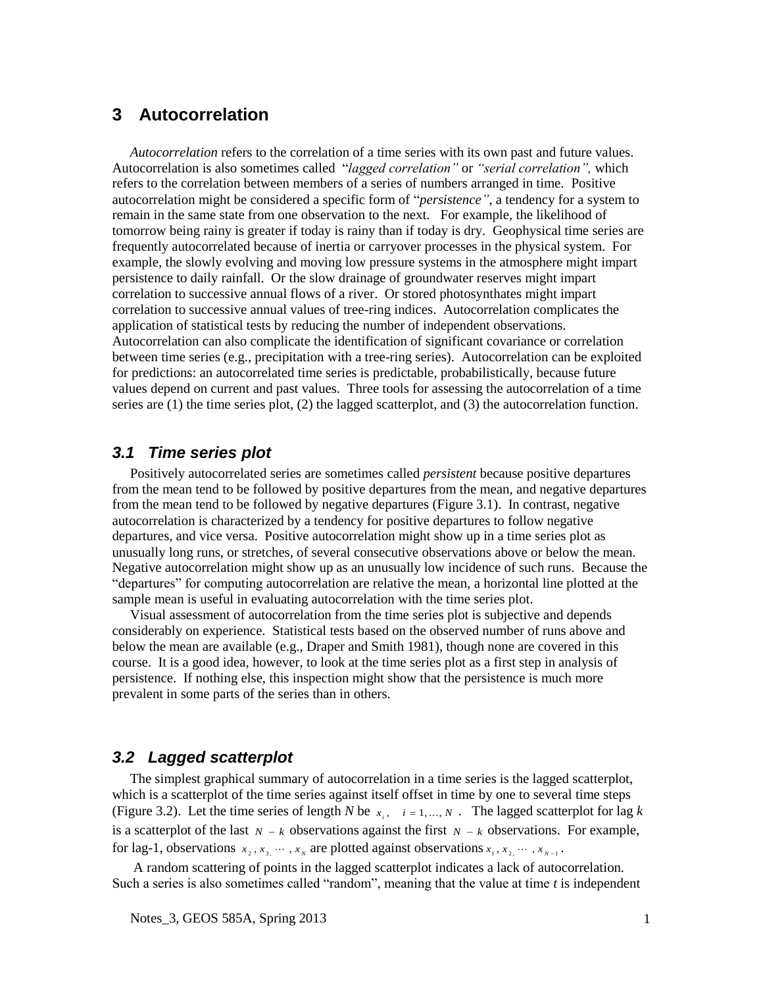# **3 Autocorrelation**

*Autocorrelation* refers to the correlation of a time series with its own past and future values. Autocorrelation is also sometimes called "*lagged correlation"* or *"serial correlation",* which refers to the correlation between members of a series of numbers arranged in time. Positive autocorrelation might be considered a specific form of "*persistence"*, a tendency for a system to remain in the same state from one observation to the next. For example, the likelihood of tomorrow being rainy is greater if today is rainy than if today is dry. Geophysical time series are frequently autocorrelated because of inertia or carryover processes in the physical system. For example, the slowly evolving and moving low pressure systems in the atmosphere might impart persistence to daily rainfall. Or the slow drainage of groundwater reserves might impart correlation to successive annual flows of a river. Or stored photosynthates might impart correlation to successive annual values of tree-ring indices. Autocorrelation complicates the application of statistical tests by reducing the number of independent observations. Autocorrelation can also complicate the identification of significant covariance or correlation between time series (e.g., precipitation with a tree-ring series). Autocorrelation can be exploited for predictions: an autocorrelated time series is predictable, probabilistically, because future values depend on current and past values. Three tools for assessing the autocorrelation of a time series are (1) the time series plot, (2) the lagged scatterplot, and (3) the autocorrelation function.

#### *3.1 Time series plot*

Positively autocorrelated series are sometimes called *persistent* because positive departures from the mean tend to be followed by positive departures from the mean, and negative departures from the mean tend to be followed by negative departures (Figure 3.1). In contrast, negative autocorrelation is characterized by a tendency for positive departures to follow negative departures, and vice versa. Positive autocorrelation might show up in a time series plot as unusually long runs, or stretches, of several consecutive observations above or below the mean. Negative autocorrelation might show up as an unusually low incidence of such runs. Because the "departures" for computing autocorrelation are relative the mean, a horizontal line plotted at the sample mean is useful in evaluating autocorrelation with the time series plot.

Visual assessment of autocorrelation from the time series plot is subjective and depends considerably on experience. Statistical tests based on the observed number of runs above and below the mean are available (e.g., Draper and Smith 1981), though none are covered in this course. It is a good idea, however, to look at the time series plot as a first step in analysis of persistence. If nothing else, this inspection might show that the persistence is much more prevalent in some parts of the series than in others.

### *3.2 Lagged scatterplot*

The simplest graphical summary of autocorrelation in a time series is the lagged scatterplot, which is a scatterplot of the time series against itself offset in time by one to several time steps (Figure 3.2). Let the time series of length *N* be  $x_i$ ,  $i = 1, ..., N$ . The lagged scatterplot for lag *k* is a scatterplot of the last  $N - k$  observations against the first  $N - k$  observations. For example, for lag-1, observations  $x_2, x_3, \dots, x_N$  are plotted against observations  $x_1, x_2, \dots, x_{N-1}$ .

A random scattering of points in the lagged scatterplot indicates a lack of autocorrelation. Such a series is also sometimes called "random", meaning that the value at time *t* is independent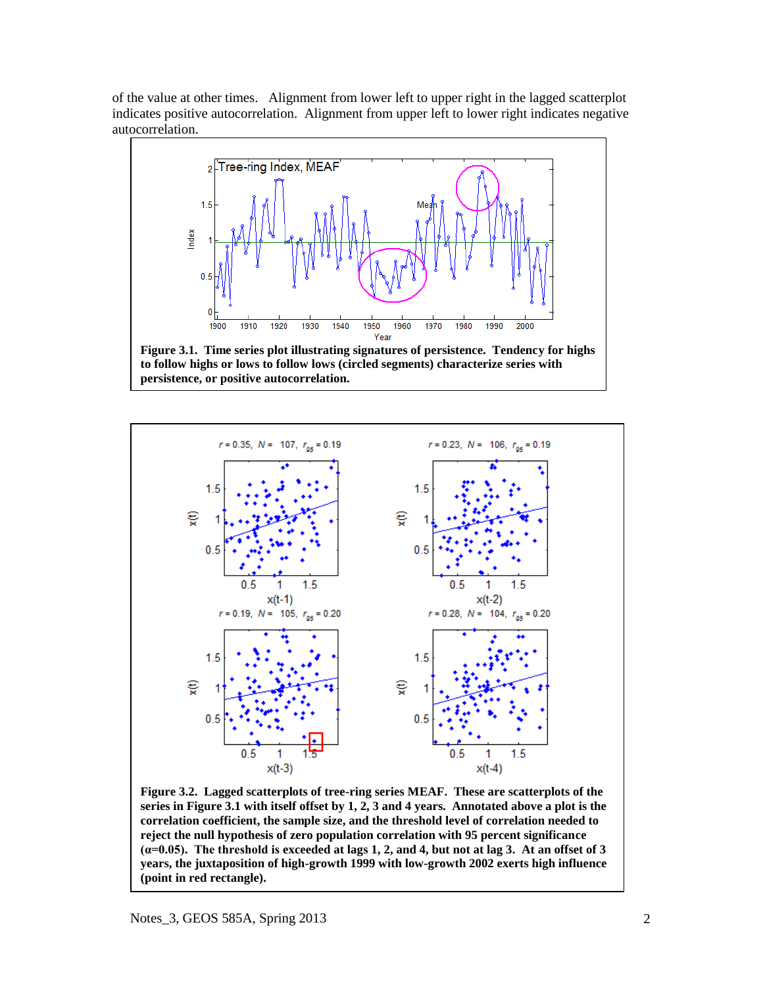of the value at other times. Alignment from lower left to upper right in the lagged scatterplot indicates positive autocorrelation. Alignment from upper left to lower right indicates negative autocorrelation.





**Figure 3.2. Lagged scatterplots of tree-ring series MEAF. These are scatterplots of the series in Figure 3.1 with itself offset by 1, 2, 3 and 4 years. Annotated above a plot is the correlation coefficient, the sample size, and the threshold level of correlation needed to reject the null hypothesis of zero population correlation with 95 percent significance (α=0.05). The threshold is exceeded at lags 1, 2, and 4, but not at lag 3. At an offset of 3 years, the juxtaposition of high-growth 1999 with low-growth 2002 exerts high influence (point in red rectangle).**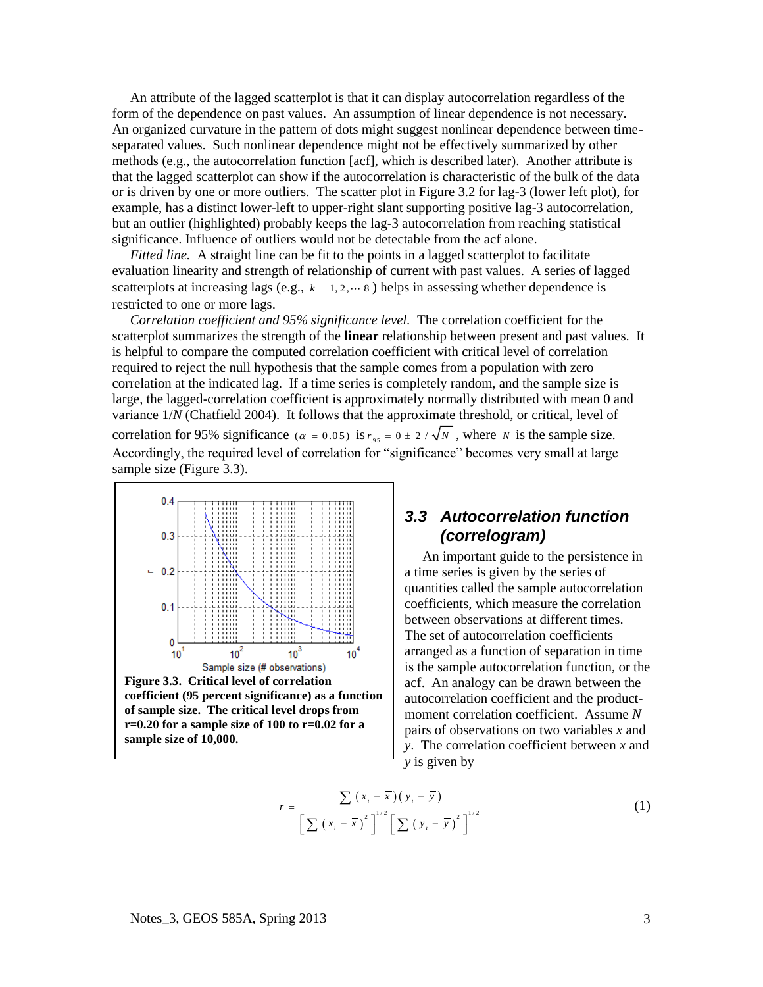An attribute of the lagged scatterplot is that it can display autocorrelation regardless of the form of the dependence on past values. An assumption of linear dependence is not necessary. An organized curvature in the pattern of dots might suggest nonlinear dependence between timeseparated values. Such nonlinear dependence might not be effectively summarized by other methods (e.g., the autocorrelation function [acf], which is described later). Another attribute is that the lagged scatterplot can show if the autocorrelation is characteristic of the bulk of the data or is driven by one or more outliers. The scatter plot in Figure 3.2 for lag-3 (lower left plot), for example, has a distinct lower-left to upper-right slant supporting positive lag-3 autocorrelation, but an outlier (highlighted) probably keeps the lag-3 autocorrelation from reaching statistical significance. Influence of outliers would not be detectable from the acf alone.

*Fitted line.* A straight line can be fit to the points in a lagged scatterplot to facilitate evaluation linearity and strength of relationship of current with past values. A series of lagged scatterplots at increasing lags (e.g.,  $k = 1, 2, \dots 8$ ) helps in assessing whether dependence is restricted to one or more lags.

*Correlation coefficient and 95% significance level.* The correlation coefficient for the scatterplot summarizes the strength of the **linear** relationship between present and past values. It is helpful to compare the computed correlation coefficient with critical level of correlation required to reject the null hypothesis that the sample comes from a population with zero correlation at the indicated lag. If a time series is completely random, and the sample size is large, the lagged-correlation coefficient is approximately normally distributed with mean 0 and variance 1/*N* (Chatfield 2004). It follows that the approximate threshold, or critical, level of correlation for 95% significance ( $\alpha = 0.05$ ) is  $r_{.95} = 0 \pm 2 / \sqrt{N}$ , where *N* is the sample size. Accordingly, the required level of correlation for "significance" becomes very small at large sample size (Figure 3.3).



**coefficient (95 percent significance) as a function of sample size. The critical level drops from r=0.20 for a sample size of 100 to r=0.02 for a sample size of 10,000.** 

## *3.3 Autocorrelation function (correlogram)*

An important guide to the persistence in a time series is given by the series of quantities called the sample autocorrelation coefficients, which measure the correlation between observations at different times. The set of autocorrelation coefficients arranged as a function of separation in time is the sample autocorrelation function, or the acf. An analogy can be drawn between the autocorrelation coefficient and the productmoment correlation coefficient. Assume *N*  pairs of observations on two variables *x* and *y*. The correlation coefficient between *x* and *y* is given by

$$
r = \frac{\sum (x_i - \overline{x})(y_i - \overline{y})}{\left[\sum (x_i - \overline{x})^2\right]^{1/2} \left[\sum (y_i - \overline{y})^2\right]^{1/2}}
$$
(1)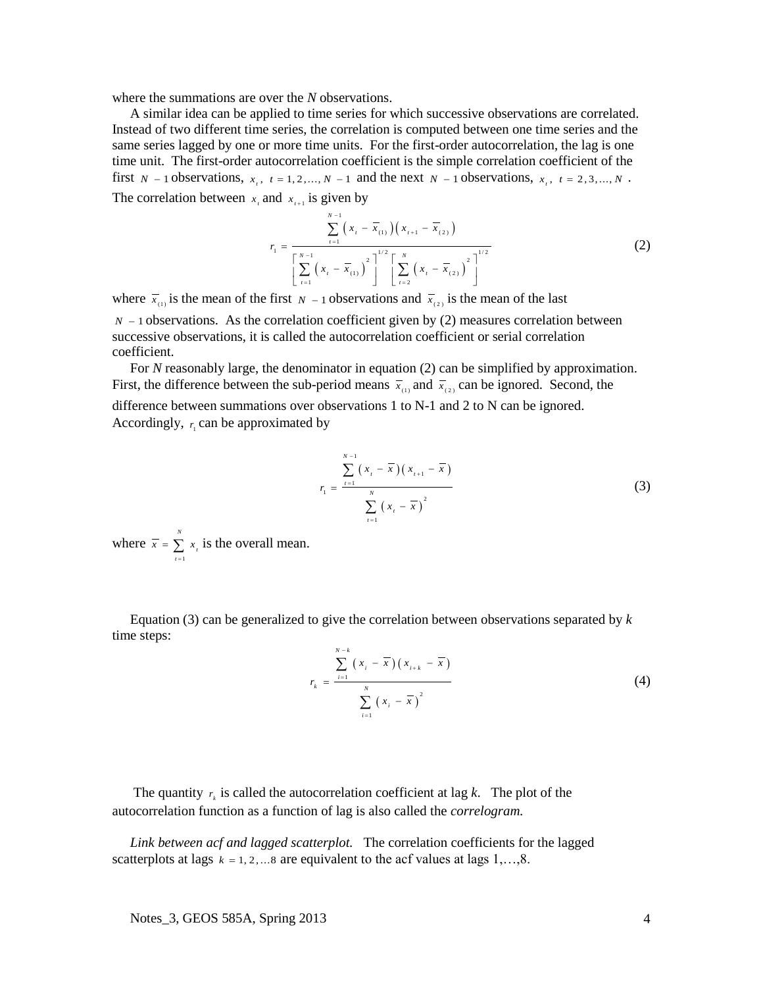where the summations are over the *N* observations.

A similar idea can be applied to time series for which successive observations are correlated. Instead of two different time series, the correlation is computed between one time series and the same series lagged by one or more time units. For the first-order autocorrelation, the lag is one time unit. The first-order autocorrelation coefficient is the simple correlation coefficient of the first  $N-1$  observations,  $x_i$ ,  $t = 1, 2, ..., N-1$  and the next  $N-1$  observations,  $x_i$ ,  $t = 2, 3, ..., N$ . The correlation between  $x_i$  and  $x_{i+1}$  is given by

$$
r_{1} = \frac{\sum_{t=1}^{N-1} (x_{t} - \overline{x}_{(1)}) (x_{t+1} - \overline{x}_{(2)})}{\left[\sum_{t=1}^{N-1} (x_{t} - \overline{x}_{(1)})^{2}\right]^{1/2} \left[\sum_{t=2}^{N} (x_{t} - \overline{x}_{(2)})^{2}\right]^{1/2}}
$$
(2)

where  $\bar{x}_{(1)}$  is the mean of the first  $N-1$  observations and  $\bar{x}_{(2)}$  is the mean of the last  $N - 1$  observations. As the correlation coefficient given by (2) measures correlation between successive observations, it is called the autocorrelation coefficient or serial correlation coefficient.

For *N* reasonably large, the denominator in equation (2) can be simplified by approximation. First, the difference between the sub-period means  $\overline{x}_{(1)}$  and  $\overline{x}_{(2)}$  can be ignored. Second, the difference between summations over observations 1 to N-1 and 2 to N can be ignored. Accordingly,  $r_1$  can be approximated by

$$
r_{1} = \frac{\sum_{i=1}^{N-1} (x_{i} - \overline{x})(x_{i+1} - \overline{x})}{\sum_{i=1}^{N} (x_{i} - \overline{x})^{2}}
$$
(3)

where 1 *N*  $\sum_{t=1}^{\infty}$  $\overline{x}$  =  $\sum x$  $=\sum_{i=1}^{\infty} x_i$  is the overall mean.

Equation (3) can be generalized to give the correlation between observations separated by *k* time steps:

$$
r_{k} = \frac{\sum_{i=1}^{N-k} (x_{i} - \overline{x})(x_{i+k} - \overline{x})}{\sum_{i=1}^{N} (x_{i} - \overline{x})^{2}}
$$
(4)

The quantity  $r_k$  is called the autocorrelation coefficient at lag *k*. The plot of the autocorrelation function as a function of lag is also called the *correlogram.*

*Link between acf and lagged scatterplot.* The correlation coefficients for the lagged scatterplots at lags  $k = 1, 2, \ldots$  are equivalent to the acf values at lags  $1, \ldots, 8$ .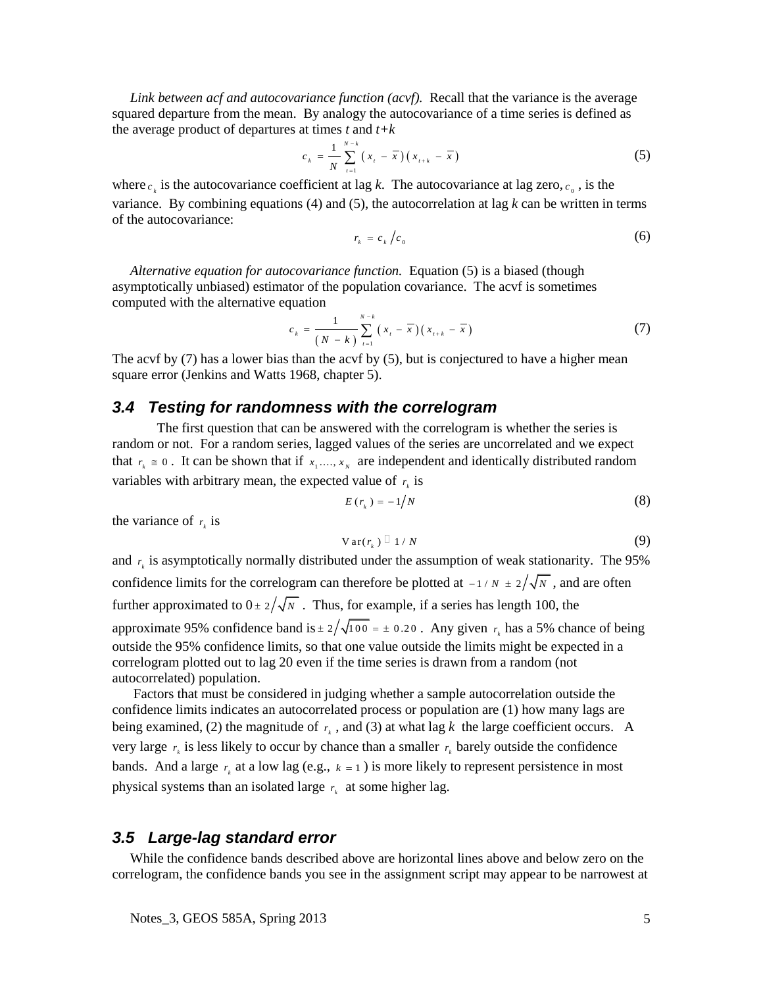*Link between acf and autocovariance function (acvf).* Recall that the variance is the average squared departure from the mean. By analogy the autocovariance of a time series is defined as the average product of departures at times *t* and *t+k* 

$$
c_{k} = \frac{1}{N} \sum_{t=1}^{N-k} (x_{t} - \overline{x})(x_{t+k} - \overline{x})
$$
 (5)

where  $c_k$  is the autocovariance coefficient at lag *k*. The autocovariance at lag zero,  $c_0$ , is the variance. By combining equations  $(4)$  and  $(5)$ , the autocorrelation at lag k can be written in terms of the autocovariance:

$$
r_k = c_k / c_0 \tag{6}
$$

*Alternative equation for autocovariance function.* Equation (5) is a biased (though asymptotically unbiased) estimator of the population covariance. The acvf is sometimes computed with the alternative equation

$$
c_{k} = \frac{1}{(N-k)} \sum_{t=1}^{N-k} (x_{t} - \overline{x})(x_{t+k} - \overline{x})
$$
 (7)

The acvf by (7) has a lower bias than the acvf by (5), but is conjectured to have a higher mean square error (Jenkins and Watts 1968, chapter 5).

#### *3.4 Testing for randomness with the correlogram*

The first question that can be answered with the correlogram is whether the series is random or not. For a random series, lagged values of the series are uncorrelated and we expect that  $r_k \equiv 0$ . It can be shown that if  $x_1,..., x_N$  are independent and identically distributed random variables with arbitrary mean, the expected value of  $r_k$  is

$$
E(r_k) = -1/N \tag{8}
$$

the variance of  $r_k$  is

$$
Var(r_{k}) \stackrel{\Box}{=} 1/N \tag{9}
$$

and  $r_k$  is asymptotically normally distributed under the assumption of weak stationarity. The 95% confidence limits for the correlogram can therefore be plotted at  $-1/N \pm 2/\sqrt{N}$ , and are often further approximated to  $0 \pm 2/\sqrt{N}$ . Thus, for example, if a series has length 100, the approximate 95% confidence band is  $\pm 2/\sqrt{100} = \pm 0.20$ . Any given  $r_k$  has a 5% chance of being outside the 95% confidence limits, so that one value outside the limits might be expected in a correlogram plotted out to lag 20 even if the time series is drawn from a random (not autocorrelated) population.

Factors that must be considered in judging whether a sample autocorrelation outside the confidence limits indicates an autocorrelated process or population are (1) how many lags are being examined, (2) the magnitude of  $r<sub>k</sub>$ , and (3) at what lag *k* the large coefficient occurs. A very large  $r_k$  is less likely to occur by chance than a smaller  $r_k$  barely outside the confidence bands. And a large  $r_k$  at a low lag (e.g.,  $k = 1$ ) is more likely to represent persistence in most physical systems than an isolated large  $r_k$  at some higher lag.

#### *3.5 Large-lag standard error*

While the confidence bands described above are horizontal lines above and below zero on the correlogram, the confidence bands you see in the assignment script may appear to be narrowest at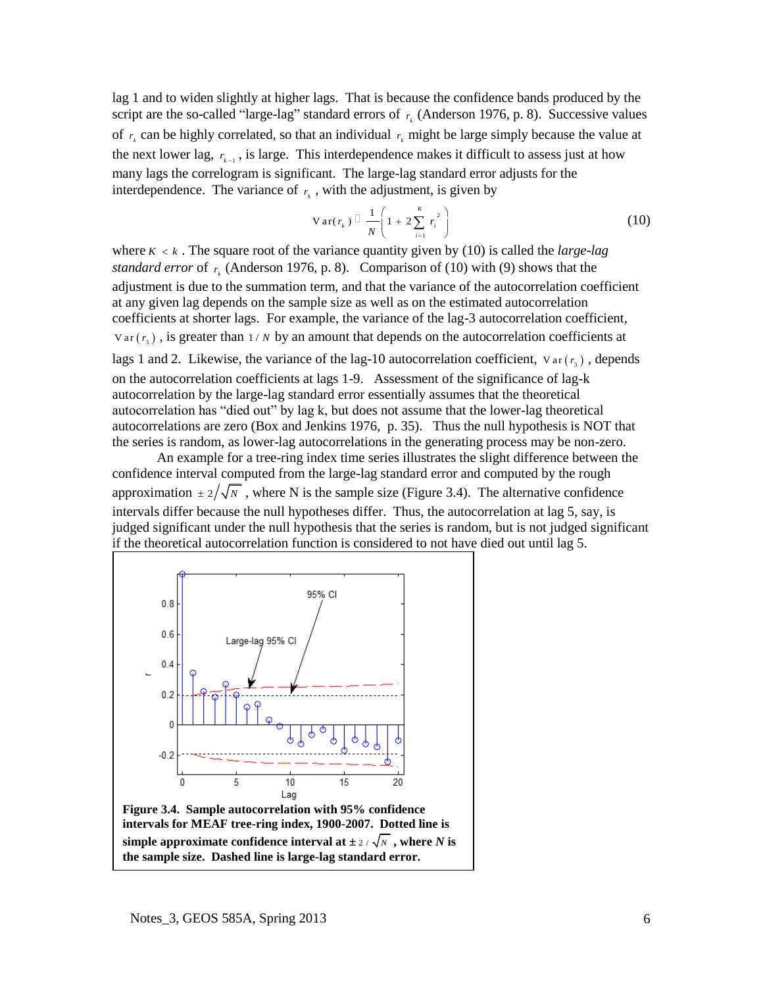lag 1 and to widen slightly at higher lags. That is because the confidence bands produced by the script are the so-called "large-lag" standard errors of  $r_k$  (Anderson 1976, p. 8). Successive values of  $r_k$  can be highly correlated, so that an individual  $r_k$  might be large simply because the value at the next lower lag,  $r_{k-1}$ , is large. This interdependence makes it difficult to assess just at how many lags the correlogram is significant. The large-lag standard error adjusts for the interdependence. The variance of  $r_k$ , with the adjustment, is given by

$$
Var(r_k) \sqsubseteq \frac{1}{N} \left( 1 + 2 \sum_{i=1}^{K} r_i^2 \right)
$$
 (10)

where  $K < k$ . The square root of the variance quantity given by (10) is called the *large-lag standard error* of  $r_k$  (Anderson 1976, p. 8). Comparison of (10) with (9) shows that the adjustment is due to the summation term, and that the variance of the autocorrelation coefficient at any given lag depends on the sample size as well as on the estimated autocorrelation coefficients at shorter lags. For example, the variance of the lag-3 autocorrelation coefficient,  $Var(r_3)$ , is greater than  $1/N$  by an amount that depends on the autocorrelation coefficients at lags 1 and 2. Likewise, the variance of the lag-10 autocorrelation coefficient,  $v_{\text{ar}}(r_s)$ , depends on the autocorrelation coefficients at lags 1-9. Assessment of the significance of lag-k autocorrelation by the large-lag standard error essentially assumes that the theoretical autocorrelation has "died out" by lag k, but does not assume that the lower-lag theoretical autocorrelations are zero (Box and Jenkins 1976, p. 35). Thus the null hypothesis is NOT that the series is random, as lower-lag autocorrelations in the generating process may be non-zero.

An example for a tree-ring index time series illustrates the slight difference between the confidence interval computed from the large-lag standard error and computed by the rough approximation  $\pm 2/\sqrt{N}$ , where N is the sample size (Figure 3.4). The alternative confidence intervals differ because the null hypotheses differ. Thus, the autocorrelation at lag 5, say, is judged significant under the null hypothesis that the series is random, but is not judged significant if the theoretical autocorrelation function is considered to not have died out until lag 5.



**intervals for MEAF tree-ring index, 1900-2007. Dotted line is**  simple approximate confidence interval at  $\pm$  2 /  $\sqrt{N}$  , where *N* is **the sample size. Dashed line is large-lag standard error.**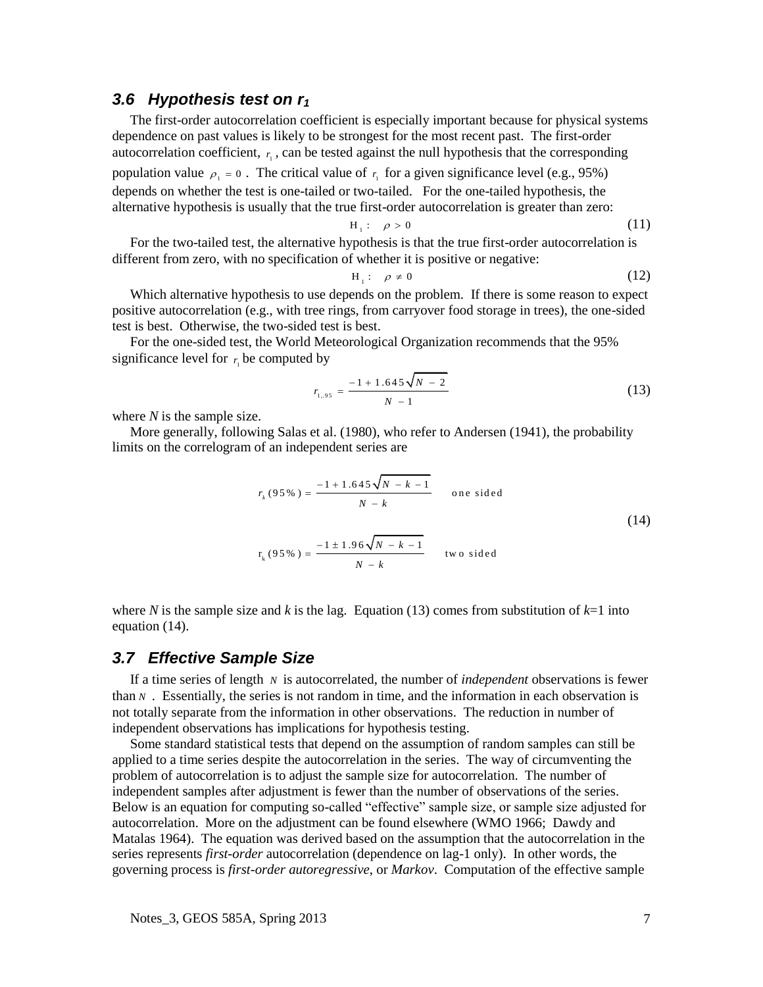## *3.6 Hypothesis test on r<sup>1</sup>*

The first-order autocorrelation coefficient is especially important because for physical systems dependence on past values is likely to be strongest for the most recent past. The first-order autocorrelation coefficient,  $r_1$ , can be tested against the null hypothesis that the corresponding population value  $\rho_1 = 0$ . The critical value of  $r_1$  for a given significance level (e.g., 95%) depends on whether the test is one-tailed or two-tailed. For the one-tailed hypothesis, the alternative hypothesis is usually that the true first-order autocorrelation is greater than zero:

$$
H_1: \quad \rho > 0 \tag{11}
$$

For the two-tailed test, the alternative hypothesis is that the true first-order autocorrelation is different from zero, with no specification of whether it is positive or negative:

$$
H_1: \quad \rho \neq 0 \tag{12}
$$

Which alternative hypothesis to use depends on the problem. If there is some reason to expect positive autocorrelation (e.g., with tree rings, from carryover food storage in trees), the one-sided test is best. Otherwise, the two-sided test is best.

For the one-sided test, the World Meteorological Organization recommends that the 95% significance level for  $r_1$  be computed by

$$
r_{1,\,95} = \frac{-1 + 1.645\sqrt{N - 2}}{N - 1} \tag{13}
$$

where *N* is the sample size.

More generally, following Salas et al. (1980), who refer to Andersen (1941), the probability limits on the correlogram of an independent series are

$$
r_{k}(95\%) = \frac{-1 + 1.645\sqrt{N - k - 1}}{N - k}
$$
 one sided  
\n
$$
r_{k}(95\%) = \frac{-1 \pm 1.96\sqrt{N - k - 1}}{N - k}
$$
 two sided

where *N* is the sample size and *k* is the lag. Equation (13) comes from substitution of  $k=1$  into equation (14).

#### *3.7 Effective Sample Size*

If a time series of length *N* is autocorrelated, the number of *independent* observations is fewer than  $N$ . Essentially, the series is not random in time, and the information in each observation is not totally separate from the information in other observations. The reduction in number of independent observations has implications for hypothesis testing.

Some standard statistical tests that depend on the assumption of random samples can still be applied to a time series despite the autocorrelation in the series. The way of circumventing the problem of autocorrelation is to adjust the sample size for autocorrelation. The number of independent samples after adjustment is fewer than the number of observations of the series. Below is an equation for computing so-called "effective" sample size, or sample size adjusted for autocorrelation. More on the adjustment can be found elsewhere (WMO 1966; Dawdy and Matalas 1964). The equation was derived based on the assumption that the autocorrelation in the series represents *first-order* autocorrelation (dependence on lag-1 only). In other words, the governing process is *first-order autoregressive*, or *Markov*. Computation of the effective sample